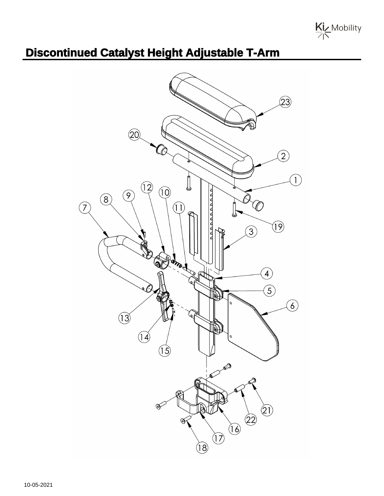

## **Discontinued Catalyst Height Adjustable T-Arm**

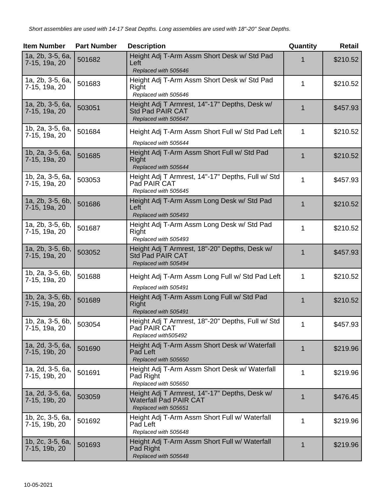| <b>Item Number</b>                | <b>Part Number</b> | <b>Description</b>                                                                               | Quantity    | <b>Retail</b> |
|-----------------------------------|--------------------|--------------------------------------------------------------------------------------------------|-------------|---------------|
| 1a, 2b, 3-5, 6a,<br>7-15, 19a, 20 | 501682             | Height Adj T-Arm Assm Short Desk w/ Std Pad<br>Left<br>Replaced with 505646                      | 1           | \$210.52      |
| 1a, 2b, 3-5, 6a,<br>7-15, 19a, 20 | 501683             | Height Adj T-Arm Assm Short Desk w/ Std Pad<br>Right<br>Replaced with 505646                     | 1           | \$210.52      |
| 1a, 2b, 3-5, 6a,<br>7-15, 19a, 20 | 503051             | Height Adj T Armrest, 14"-17" Depths, Desk w/<br><b>Std Pad PAIR CAT</b><br>Replaced with 505647 | 1           | \$457.93      |
| 1b, 2a, 3-5, 6a,<br>7-15, 19a, 20 | 501684             | Height Adj T-Arm Assm Short Full w/ Std Pad Left<br>Replaced with 505644                         | 1           | \$210.52      |
| 1b, 2a, 3-5, 6a,<br>7-15, 19a, 20 | 501685             | Height Adj T-Arm Assm Short Full w/ Std Pad<br>Right<br>Replaced with 505644                     | 1           | \$210.52      |
| 1b, 2a, 3-5, 6a,<br>7-15, 19a, 20 | 503053             | Height Adj T Armrest, 14"-17" Depths, Full w/ Std<br>Pad PAIR CAT<br>Replaced with 505645        | 1           | \$457.93      |
| 1a, 2b, 3-5, 6b,<br>7-15, 19a, 20 | 501686             | Height Adj T-Arm Assm Long Desk w/ Std Pad<br>Left<br>Replaced with 505493                       | 1           | \$210.52      |
| 1a, 2b, 3-5, 6b,<br>7-15, 19a, 20 | 501687             | Height Adj T-Arm Assm Long Desk w/ Std Pad<br>Right<br>Replaced with 505493                      | 1           | \$210.52      |
| 1a, 2b, 3-5, 6b,<br>7-15, 19a, 20 | 503052             | Height Adj T Armrest, 18"-20" Depths, Desk w/<br>Std Pad PAIR CAT<br>Replaced with 505494        | $\mathbf 1$ | \$457.93      |
| 1b, 2a, 3-5, 6b,<br>7-15, 19a, 20 | 501688             | Height Adj T-Arm Assm Long Full w/ Std Pad Left<br>Replaced with 505491                          | 1           | \$210.52      |
| 1b, 2a, 3-5, 6b,<br>7-15, 19a, 20 | 501689             | Height Adj T-Arm Assm Long Full w/ Std Pad<br>Right<br>Replaced with 505491                      | 1           | \$210.52      |
| 1b, 2a, 3-5, 6b,<br>7-15, 19a, 20 | 503054             | Height Adj T Armrest, 18"-20" Depths, Full w/ Std<br>Pad PAIR CAT<br>Replaced with505492         | 1           | \$457.93      |
| 1a, 2d, 3-5, 6a,<br>7-15, 19b, 20 | 501690             | Height Adj T-Arm Assm Short Desk w/ Waterfall<br>Pad Left<br>Replaced with 505650                | $\mathbf 1$ | \$219.96      |
| 1a, 2d, 3-5, 6a,<br>7-15, 19b, 20 | 501691             | Height Adj T-Arm Assm Short Desk w/ Waterfall<br>Pad Right<br>Replaced with 505650               | 1           | \$219.96      |
| 1a, 2d, 3-5, 6a,<br>7-15, 19b, 20 | 503059             | Height Adj T Armrest, 14"-17" Depths, Desk w/<br>Waterfall Pad PAIR CAT<br>Replaced with 505651  | 1           | \$476.45      |
| 1b, 2c, 3-5, 6a,<br>7-15, 19b, 20 | 501692             | Height Adj T-Arm Assm Short Full w/ Waterfall<br>Pad Left<br>Replaced with 505648                | 1           | \$219.96      |
| 1b, 2c, 3-5, 6a,<br>7-15, 19b, 20 | 501693             | Height Adj T-Arm Assm Short Full w/ Waterfall<br>Pad Right<br>Replaced with 505648               | $\mathbf 1$ | \$219.96      |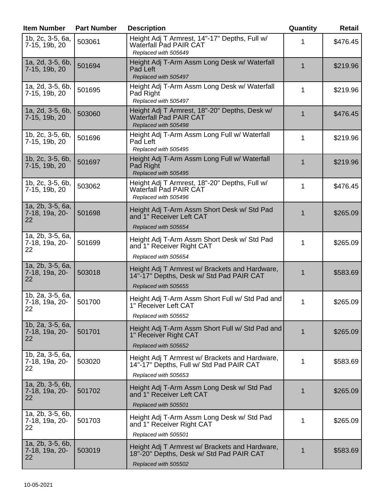| <b>Item Number</b>                         | <b>Part Number</b> | <b>Description</b>                                                                                                 | Quantity | Retail   |
|--------------------------------------------|--------------------|--------------------------------------------------------------------------------------------------------------------|----------|----------|
| 1b, 2c, 3-5, 6a,<br>7-15, 19b, 20          | 503061             | Height Adj T Armrest, 14"-17" Depths, Full w/<br><b>Waterfall Pad PAIR CAT</b><br>Replaced with 505649             | 1        | \$476.45 |
| 1a, 2d, 3-5, 6b,<br>7-15, 19b, 20          | 501694             | Height Adj T-Arm Assm Long Desk w/ Waterfall<br>Pad Left<br>Replaced with 505497                                   | 1        | \$219.96 |
| 1a, 2d, 3-5, 6b,<br>7-15, 19b, 20          | 501695             | Height Adj T-Arm Assm Long Desk w/ Waterfall<br>Pad Right<br>Replaced with 505497                                  | 1        | \$219.96 |
| 1a, 2d, 3-5, 6b,<br>7-15, 19b, 20          | 503060             | Height Adj T Armrest, 18"-20" Depths, Desk w/<br><b>Waterfall Pad PAIR CAT</b><br>Replaced with 505498             | 1        | \$476.45 |
| 1b, 2c, 3-5, 6b,<br>7-15, 19b, 20          | 501696             | Height Adj T-Arm Assm Long Full w/ Waterfall<br>Pad Left<br>Replaced with 505495                                   | 1        | \$219.96 |
| 1b, 2c, 3-5, 6b,<br>7-15, 19b, 20          | 501697             | Height Adj T-Arm Assm Long Full w/ Waterfall<br>Pad Right<br>Replaced with 505495                                  | 1        | \$219.96 |
| 1b, 2c, 3-5, 6b,<br>7-15, 19b, 20          | 503062             | Height Adj T Armrest, 18"-20" Depths, Full w/<br><b>Waterfall Pad PAIR CAT</b><br>Replaced with 505496             | 1        | \$476.45 |
| 1a, 2b, 3-5, 6a,<br>7-18, 19a, 20-<br>22   | 501698             | Height Adj T-Arm Assm Short Desk w/ Std Pad<br>and 1" Receiver Left CAT<br>Replaced with 505654                    | 1        | \$265.09 |
| 1a, 2b, 3-5, 6a,<br>7-18, 19a, 20-<br>22   | 501699             | Height Adj T-Arm Assm Short Desk w/ Std Pad<br>and 1" Receiver Right CAT<br>Replaced with 505654                   | 1        | \$265.09 |
| 1a, 2b, 3-5, 6a,<br>7-18, 19a, 20-<br>22   | 503018             | Height Adj T Armrest w/ Brackets and Hardware,<br>14"-17" Depths, Desk w/ Std Pad PAIR CAT<br>Replaced with 505655 | 1        | \$583.69 |
| 1b, 2a, 3-5, 6a,<br>7-18, 19a, 20-<br>22   | 501700             | Height Adj T-Arm Assm Short Full w/ Std Pad and<br>1" Receiver Left CAT<br>Replaced with 505652                    |          | \$265.09 |
| 1b, 2a, 3-5, 6a,<br>7-18, 19a, 20-<br>22   | 501701             | Height Adj T-Arm Assm Short Full w/ Std Pad and<br>1" Receiver Right CAT<br>Replaced with 505652                   | 1        | \$265.09 |
| 1b, 2a, 3-5, 6a,<br>7-18, 19a, 20-<br>22   | 503020             | Height Adj T Armrest w/ Brackets and Hardware,<br>14"-17" Depths, Full w/ Std Pad PAIR CAT<br>Replaced with 505653 | 1        | \$583.69 |
| 1a, 2b, 3-5, 6b,<br>7-18, 19a, 20-<br>22   | 501702             | Height Adj T-Arm Assm Long Desk w/ Std Pad<br>and 1" Receiver Left CAT<br>Replaced with 505501                     | 1        | \$265.09 |
| $1a, 2b, 3-5, 6b,$<br>7-18, 19a, 20-<br>22 | 501703             | Height Adj T-Arm Assm Long Desk w/ Std Pad<br>and 1" Receiver Right CAT<br>Replaced with 505501                    | 1        | \$265.09 |
| 1a, 2b, 3-5, 6b,<br>7-18, 19a, 20-<br>22   | 503019             | Height Adj T Armrest w/ Brackets and Hardware,<br>18"-20" Depths, Desk w/ Std Pad PAIR CAT<br>Replaced with 505502 | 1        | \$583.69 |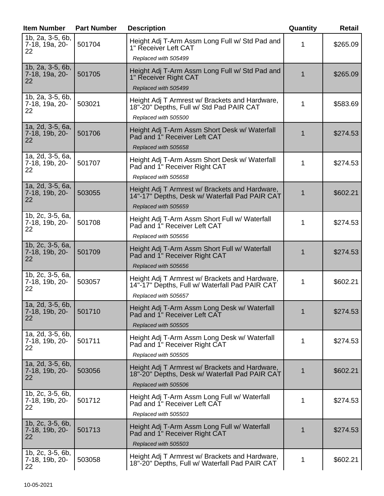| <b>Item Number</b>                                | <b>Part Number</b> | <b>Description</b>                                                                                                       | Quantity | <b>Retail</b> |
|---------------------------------------------------|--------------------|--------------------------------------------------------------------------------------------------------------------------|----------|---------------|
| 1b, 2a, 3-5, 6b,<br>7-18, 19a, 20-<br>22          | 501704             | Height Adj T-Arm Assm Long Full w/ Std Pad and<br>1" Receiver Left CAT                                                   | 1        | \$265.09      |
|                                                   |                    | Replaced with 505499                                                                                                     |          |               |
| 1b, 2a, 3-5, 6b,<br>7-18, 19a, 20-<br>22          | 501705             | Height Adj T-Arm Assm Long Full w/ Std Pad and<br>1" Receiver Right CAT                                                  | 1        | \$265.09      |
|                                                   |                    | Replaced with 505499                                                                                                     |          |               |
| 1b, 2a, 3-5, 6b,<br>7-18, 19a, 20-<br>22          | 503021             | Height Adj T Armrest w/ Brackets and Hardware,<br>18"-20" Depths, Full w/ Std Pad PAIR CAT<br>Replaced with 505500       | 1        | \$583.69      |
| 1a, 2d, 3-5, 6a,<br>7-18, 19b, 20-<br>22          | 501706             | Height Adj T-Arm Assm Short Desk w/ Waterfall<br>Pad and 1" Receiver Left CAT<br>Replaced with 505658                    |          | \$274.53      |
| 1a, 2d, 3-5, 6a,<br>7-18, 19b, 20-<br>22          | 501707             | Height Adj T-Arm Assm Short Desk w/ Waterfall<br>Pad and 1" Receiver Right CAT<br>Replaced with 505658                   | 1        | \$274.53      |
| 1a, 2d, 3-5, 6a,<br>7-18, 19b, 20-<br>22          | 503055             | Height Adj T Armrest w/ Brackets and Hardware,<br>14"-17" Depths, Desk w/ Waterfall Pad PAIR CAT<br>Replaced with 505659 | 1        | \$602.21      |
| 1b, 2c, 3-5, 6a,<br>7-18, 19b, 20-<br>22          | 501708             | Height Adj T-Arm Assm Short Full w/ Waterfall<br>Pad and 1" Receiver Left CAT<br>Replaced with 505656                    | 1        | \$274.53      |
| 1b, 2c, 3-5, 6a,<br>7-18, 19b, 20-<br>22          | 501709             | Height Adj T-Arm Assm Short Full w/ Waterfall<br>Pad and 1" Receiver Right CAT<br>Replaced with 505656                   | 1        | \$274.53      |
| 1b, $2c$ , $3-5$ , $6a$ ,<br>7-18, 19b, 20-<br>22 | 503057             | Height Adj T Armrest w/ Brackets and Hardware,<br>14"-17" Depths, Full w/ Waterfall Pad PAIR CAT<br>Replaced with 505657 | 1        | \$602.21      |
| 1a, 2d, 3-5, 6b,<br>7-18, 19b, 20-<br>22          | 501710             | Height Adj T-Arm Assm Long Desk w/ Waterfall<br>Pad and 1" Receiver Left CAT<br>Replaced with 505505                     | 1        | \$274.53      |
| 1a, 2d, 3-5, 6b,<br>7-18, 19b, 20-<br>22          | 501711             | Height Adj T-Arm Assm Long Desk w/ Waterfall<br>Pad and 1" Receiver Right CAT<br>Replaced with 505505                    | 1        | \$274.53      |
| 1a, 2d, 3-5, 6b,<br>7-18, 19b, 20-<br>22          | 503056             | Height Adj T Armrest w/ Brackets and Hardware,<br>18"-20" Depths, Desk w/ Waterfall Pad PAIR CAT<br>Replaced with 505506 | 1        | \$602.21      |
| 1b, 2c, 3-5, 6b,<br>7-18, 19b, 20-<br>22          | 501712             | Height Adj T-Arm Assm Long Full w/ Waterfall<br>Pad and 1" Receiver Left CAT<br>Replaced with 505503                     | 1        | \$274.53      |
| 1b, 2c, 3-5, 6b,<br>7-18, 19b, 20-<br>22          | 501713             | Height Adj T-Arm Assm Long Full w/ Waterfall<br>Pad and 1" Receiver Right CAT<br>Replaced with 505503                    | 1        | \$274.53      |
| 1b, 2c, 3-5, 6b,<br>7-18, 19b, 20-<br>22          | 503058             | Height Adj T Armrest w/ Brackets and Hardware,<br>18"-20" Depths, Full w/ Waterfall Pad PAIR CAT                         | 1        | \$602.21      |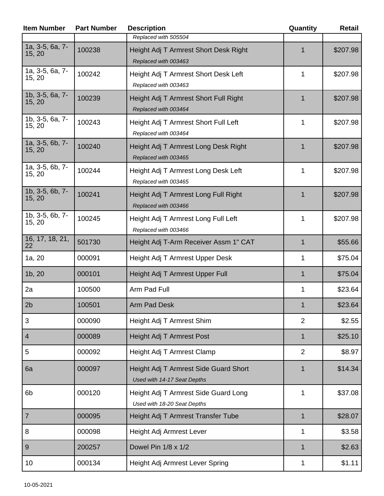| <b>Item Number</b>          | <b>Part Number</b> | <b>Description</b>                                                   | Quantity       | <b>Retail</b> |
|-----------------------------|--------------------|----------------------------------------------------------------------|----------------|---------------|
|                             |                    | Replaced with 505504                                                 |                |               |
| $1a, 3-5, 6a, 7-$<br>15, 20 | 100238             | Height Adj T Armrest Short Desk Right<br>Replaced with 003463        | 1              | \$207.98      |
| 1a, 3-5, 6a, 7-<br>15, 20   | 100242             | Height Adj T Armrest Short Desk Left<br>Replaced with 003463         | 1              | \$207.98      |
| 1b, 3-5, 6a, 7-<br>15, 20   | 100239             | Height Adj T Armrest Short Full Right<br>Replaced with 003464        | 1              | \$207.98      |
| 1b, 3-5, 6a, 7-<br>15, 20   | 100243             | Height Adj T Armrest Short Full Left<br>Replaced with 003464         | 1              | \$207.98      |
| 1a, 3-5, 6b, 7-<br>15, 20   | 100240             | Height Adj T Armrest Long Desk Right<br>Replaced with 003465         | 1              | \$207.98      |
| 1a, 3-5, 6b, 7-<br>15, 20   | 100244             | Height Adj T Armrest Long Desk Left<br>Replaced with 003465          | 1              | \$207.98      |
| 1b, 3-5, 6b, 7-<br>15, 20   | 100241             | Height Adj T Armrest Long Full Right<br>Replaced with 003466         | 1              | \$207.98      |
| 1b, 3-5, 6b, 7-<br>15, 20   | 100245             | Height Adj T Armrest Long Full Left<br>Replaced with 003466          | 1              | \$207.98      |
| 16, 17, 18, 21,<br>22       | 501730             | Height Adj T-Arm Receiver Assm 1" CAT                                | 1              | \$55.66       |
| 1a, 20                      | 000091             | Height Adj T Armrest Upper Desk                                      | 1              | \$75.04       |
| 1b, 20                      | 000101             | Height Adj T Armrest Upper Full                                      | 1              | \$75.04       |
| 2a                          | 100500             | Arm Pad Full                                                         | 1              | \$23.64       |
| 2b                          | 100501             | Arm Pad Desk                                                         |                | \$23.64       |
| 3                           | 000090             | Height Adj T Armrest Shim                                            | $\overline{2}$ | \$2.55        |
| $\overline{\mathcal{A}}$    | 000089             | Height Adj T Armrest Post                                            | 1              | \$25.10       |
| 5                           | 000092             | Height Adj T Armrest Clamp                                           | $\overline{2}$ | \$8.97        |
| 6a                          | 000097             | Height Adj T Armrest Side Guard Short<br>Used with 14-17 Seat Depths | $\mathbf{1}$   | \$14.34       |
| 6b                          | 000120             | Height Adj T Armrest Side Guard Long<br>Used with 18-20 Seat Depths  | 1              | \$37.08       |
| $\overline{7}$              | 000095             | Height Adj T Armrest Transfer Tube                                   | $\mathbf{1}$   | \$28.07       |
| 8                           | 000098             | Height Adj Armrest Lever                                             | 1              | \$3.58        |
| $9\,$                       | 200257             | Dowel Pin 1/8 x 1/2                                                  | $\mathbf{1}$   | \$2.63        |
| 10                          | 000134             | Height Adj Armrest Lever Spring                                      | 1              | \$1.11        |